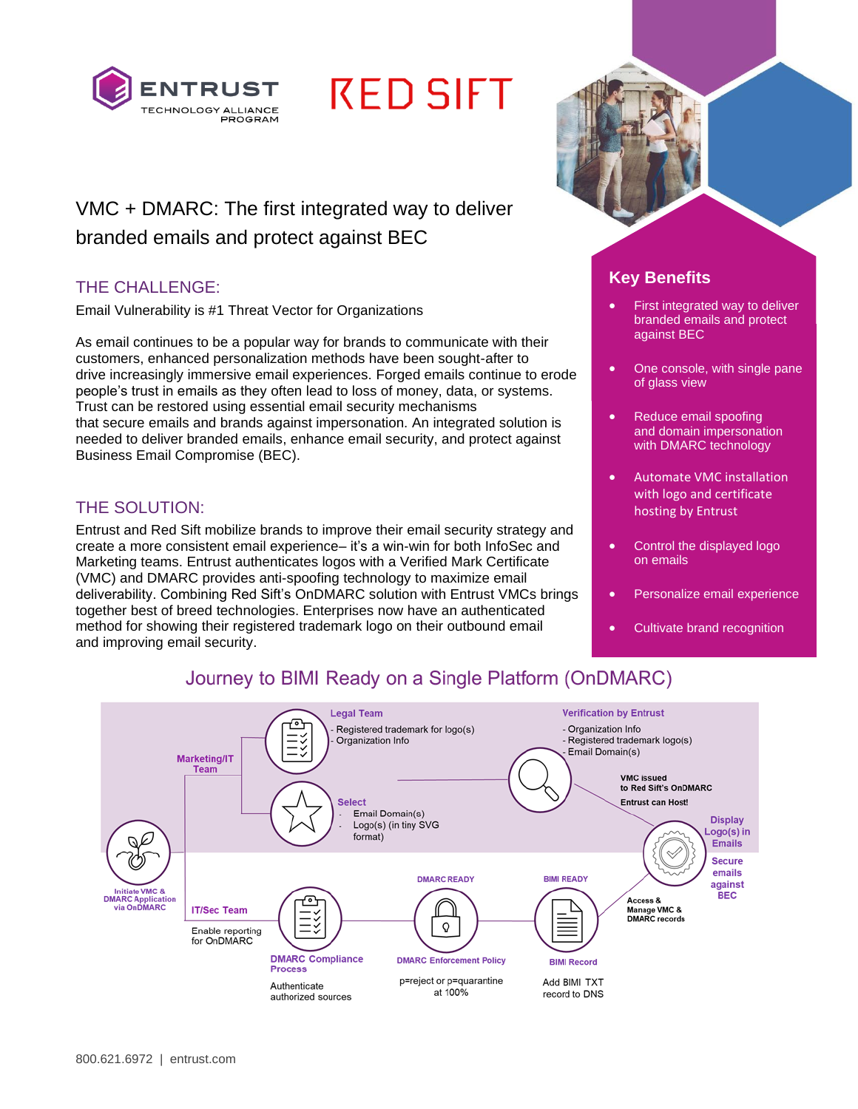

# **RED SIFT**

## VMC + DMARC: The first integrated way to deliver branded emails and protect against BEC

### THE CHALLENGE:

Email Vulnerability is #1 Threat Vector for Organizations

As email continues to be a popular way for brands to communicate with their customers, enhanced personalization methods have been sought-after to drive increasingly immersive email experiences. Forged emails continue to erode people's trust in emails as they often lead to loss of money, data, or systems. Trust can be restored using essential email security mechanisms that secure emails and brands against impersonation. An integrated solution is needed to deliver branded emails, enhance email security, and protect against Business Email Compromise (BEC).

### THE SOLUTION:

Entrust and Red Sift mobilize brands to improve their email security strategy and create a more consistent email experience– it's a win-win for both InfoSec and Marketing teams. Entrust authenticates logos with a Verified Mark Certificate (VMC) and DMARC provides anti-spoofing technology to maximize email deliverability. Combining Red Sift's OnDMARC solution with Entrust VMCs brings together best of breed technologies. Enterprises now have an authenticated method for showing their registered trademark logo on their outbound email and improving email security.



## **Key Benefits**

- First integrated way to deliver branded emails and protect against BEC
- One console, with single pane of glass view
- Reduce email spoofing and domain impersonation with DMARC technology
- Automate VMC installation with logo and certificate hosting by Entrust
- Control the displayed logo on emails
- Personalize email experience
- Cultivate brand recognition

## Journey to BIMI Ready on a Single Platform (OnDMARC)